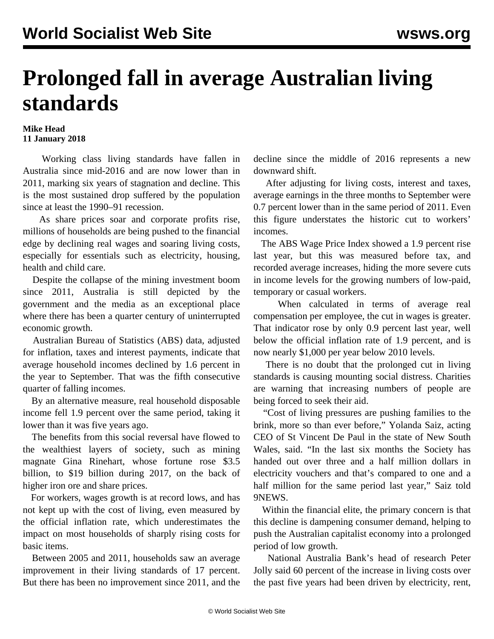## **Prolonged fall in average Australian living standards**

## **Mike Head 11 January 2018**

 Working class living standards have fallen in Australia since mid-2016 and are now lower than in 2011, marking six years of stagnation and decline. This is the most sustained drop suffered by the population since at least the 1990–91 recession.

 As share prices soar and corporate profits rise, millions of households are being pushed to the financial edge by declining real wages and soaring living costs, especially for essentials such as electricity, housing, health and child care.

 Despite the collapse of the mining investment boom since 2011, Australia is still depicted by the government and the media as an exceptional place where there has been a quarter century of uninterrupted economic growth.

 Australian Bureau of Statistics (ABS) data, adjusted for inflation, taxes and interest payments, indicate that average household incomes declined by 1.6 percent in the year to September. That was the fifth consecutive quarter of falling incomes.

 By an alternative measure, real household disposable income fell 1.9 percent over the same period, taking it lower than it was five years ago.

 The benefits from this social reversal have flowed to the wealthiest layers of society, such as mining magnate Gina Rinehart, whose fortune rose \$3.5 billion, to \$19 billion during 2017, on the back of higher iron ore and share prices.

 For workers, wages growth is at record lows, and has not kept up with the cost of living, even measured by the official inflation rate, which underestimates the impact on most households of sharply rising costs for basic items.

 Between 2005 and 2011, households saw an average improvement in their living standards of 17 percent. But there has been no improvement since 2011, and the decline since the middle of 2016 represents a new downward shift.

 After adjusting for living costs, interest and taxes, average earnings in the three months to September were 0.7 percent lower than in the same period of 2011. Even this figure understates the historic cut to workers' incomes.

 The ABS Wage Price Index showed a 1.9 percent rise last year, but this was measured before tax, and recorded average increases, hiding the more severe cuts in income levels for the growing numbers of low-paid, temporary or casual workers.

 When calculated in terms of average real compensation per employee, the cut in wages is greater. That indicator rose by only 0.9 percent last year, well below the official inflation rate of 1.9 percent, and is now nearly \$1,000 per year below 2010 levels.

 There is no doubt that the prolonged cut in living standards is causing mounting social distress. Charities are warning that increasing numbers of people are being forced to seek their aid.

 "Cost of living pressures are pushing families to the brink, more so than ever before," Yolanda Saiz, acting CEO of St Vincent De Paul in the state of New South Wales, said. "In the last six months the Society has handed out over three and a half million dollars in electricity vouchers and that's compared to one and a half million for the same period last year," Saiz told 9NEWS.

 Within the financial elite, the primary concern is that this decline is dampening consumer demand, helping to push the Australian capitalist economy into a prolonged period of low growth.

 National Australia Bank's head of research Peter Jolly said 60 percent of the increase in living costs over the past five years had been driven by electricity, rent,